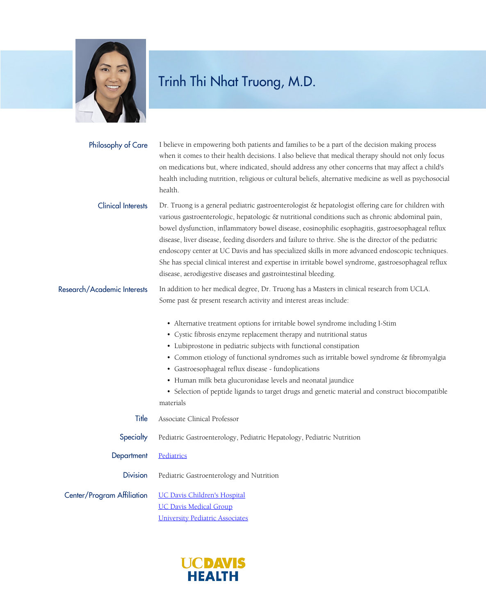

| Philosophy of Care          | I believe in empowering both patients and families to be a part of the decision making process<br>when it comes to their health decisions. I also believe that medical therapy should not only focus<br>on medications but, where indicated, should address any other concerns that may affect a child's<br>health including nutrition, religious or cultural beliefs, alternative medicine as well as psychosocial<br>health.                                                                                                                                                                                                                                                                   |
|-----------------------------|--------------------------------------------------------------------------------------------------------------------------------------------------------------------------------------------------------------------------------------------------------------------------------------------------------------------------------------------------------------------------------------------------------------------------------------------------------------------------------------------------------------------------------------------------------------------------------------------------------------------------------------------------------------------------------------------------|
| <b>Clinical Interests</b>   | Dr. Truong is a general pediatric gastroenterologist & hepatologist offering care for children with<br>various gastroenterologic, hepatologic & nutritional conditions such as chronic abdominal pain,<br>bowel dysfunction, inflammatory bowel disease, eosinophilic esophagitis, gastroesophageal reflux<br>disease, liver disease, feeding disorders and failure to thrive. She is the director of the pediatric<br>endoscopy center at UC Davis and has specialized skills in more advanced endoscopic techniques.<br>She has special clinical interest and expertise in irritable bowel syndrome, gastroesophageal reflux<br>disease, aerodigestive diseases and gastrointestinal bleeding. |
| Research/Academic Interests | In addition to her medical degree, Dr. Truong has a Masters in clinical research from UCLA.<br>Some past & present research activity and interest areas include:                                                                                                                                                                                                                                                                                                                                                                                                                                                                                                                                 |
|                             | • Alternative treatment options for irritable bowel syndrome including I-Stim<br>• Cystic fibrosis enzyme replacement therapy and nutritional status<br>• Lubiprostone in pediatric subjects with functional constipation<br>• Common etiology of functional syndromes such as irritable bowel syndrome & fibromyalgia<br>• Gastroesophageal reflux disease - fundoplications<br>• Human milk beta glucuronidase levels and neonatal jaundice<br>• Selection of peptide ligands to target drugs and genetic material and construct biocompatible<br>materials                                                                                                                                    |
| Title                       | Associate Clinical Professor                                                                                                                                                                                                                                                                                                                                                                                                                                                                                                                                                                                                                                                                     |
| Specialty                   | Pediatric Gastroenterology, Pediatric Hepatology, Pediatric Nutrition                                                                                                                                                                                                                                                                                                                                                                                                                                                                                                                                                                                                                            |
| Department                  | Pediatrics                                                                                                                                                                                                                                                                                                                                                                                                                                                                                                                                                                                                                                                                                       |
| <b>Division</b>             | Pediatric Gastroenterology and Nutrition                                                                                                                                                                                                                                                                                                                                                                                                                                                                                                                                                                                                                                                         |
| Center/Program Affiliation  | <b>UC Davis Children's Hospital</b><br><b>UC Davis Medical Group</b><br><b>University Pediatric Associates</b>                                                                                                                                                                                                                                                                                                                                                                                                                                                                                                                                                                                   |
|                             |                                                                                                                                                                                                                                                                                                                                                                                                                                                                                                                                                                                                                                                                                                  |

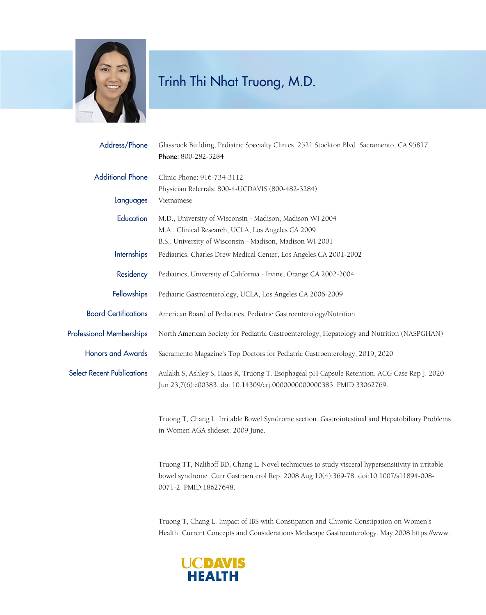

| Address/Phone                     | Glassrock Building, Pediatric Specialty Clinics, 2521 Stockton Blvd. Sacramento, CA 95817<br>Phone: 800-282-3284                                                    |
|-----------------------------------|---------------------------------------------------------------------------------------------------------------------------------------------------------------------|
| <b>Additional Phone</b>           | Clinic Phone: 916-734-3112<br>Physician Referrals: 800-4-UCDAVIS (800-482-3284)                                                                                     |
| Languages                         | Vietnamese                                                                                                                                                          |
| Education                         | M.D., University of Wisconsin - Madison, Madison WI 2004                                                                                                            |
|                                   | M.A., Clinical Research, UCLA, Los Angeles CA 2009                                                                                                                  |
|                                   | B.S., University of Wisconsin - Madison, Madison WI 2001                                                                                                            |
| Internships                       | Pediatrics, Charles Drew Medical Center, Los Angeles CA 2001-2002                                                                                                   |
| Residency                         | Pediatrics, University of California - Irvine, Orange CA 2002-2004                                                                                                  |
| Fellowships                       | Pediatric Gastroenterology, UCLA, Los Angeles CA 2006-2009                                                                                                          |
| <b>Board Certifications</b>       | American Board of Pediatrics, Pediatric Gastroenterology/Nutrition                                                                                                  |
| <b>Professional Memberships</b>   | North American Society for Pediatric Gastroenterology, Hepatology and Nutrition (NASPGHAN)                                                                          |
| <b>Honors and Awards</b>          | Sacramento Magazine's Top Doctors for Pediatric Gastroenterology, 2019, 2020                                                                                        |
| <b>Select Recent Publications</b> | Aulakh S, Ashley S, Haas K, Truong T. Esophageal pH Capsule Retention. ACG Case Rep J. 2020<br>Jun 23;7(6):e00383. doi:10.14309/crj.000000000000383. PMID:33062769. |
|                                   | Truong T, Chang L. Irritable Bowel Syndrome section. Gastrointestinal and Hepatobiliary Problems<br>in Women AGA slideset. 2009 June.                               |
|                                   | Truong TT, Naliboff BD, Chang L. Novel techniques to study visceral hypersensitivity in irritable                                                                   |

bowel syndrome. Curr Gastroenterol Rep. 2008 Aug;10(4):369-78. doi:10.1007/s11894-008- 0071-2. PMID:18627648.

Truong T, Chang L. Impact of IBS with Constipation and Chronic Constipation on Women's Health: Current Concepts and Considerations Medscape Gastroenterology. May 2008 https://www.

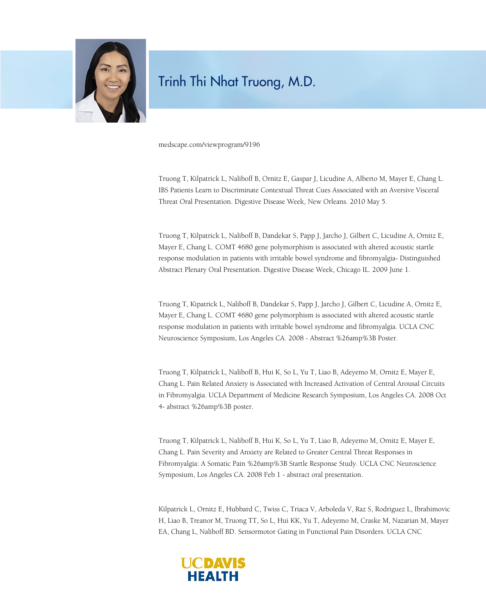

medscape.com/viewprogram/9196

Truong T, Kilpatrick L, Naliboff B, Ornitz E, Gaspar J, Licudine A, Alberto M, Mayer E, Chang L. IBS Patients Learn to Discriminate Contextual Threat Cues Associated with an Aversive Visceral Threat Oral Presentation. Digestive Disease Week, New Orleans. 2010 May 5.

Truong T, Kilpatrick L, Naliboff B, Dandekar S, Papp J, Jarcho J, Gilbert C, Licudine A, Ornitz E, Mayer E, Chang L. COMT 4680 gene polymorphism is associated with altered acoustic startle response modulation in patients with irritable bowel syndrome and fibromyalgia- Distinguished Abstract Plenary Oral Presentation. Digestive Disease Week, Chicago IL. 2009 June 1.

Truong T, Kipatrick L, Naliboff B, Dandekar S, Papp J, Jarcho J, Gilbert C, Licudine A, Ornitz E, Mayer E, Chang L. COMT 4680 gene polymorphism is associated with altered acoustic startle response modulation in patients with irritable bowel syndrome and fibromyalgia. UCLA CNC Neuroscience Symposium, Los Angeles CA. 2008 - Abstract %26amp%3B Poster.

Truong T, Kilpatrick L, Naliboff B, Hui K, So L, Yu T, Liao B, Adeyemo M, Ornitz E, Mayer E, Chang L. Pain Related Anxiety is Associated with Increased Activation of Central Arousal Circuits in Fibromyalgia. UCLA Department of Medicine Research Symposium, Los Angeles CA. 2008 Oct 4- abstract %26amp%3B poster.

Truong T, Kilpatrick L, Naliboff B, Hui K, So L, Yu T, Liao B, Adeyemo M, Ornitz E, Mayer E, Chang L. Pain Severity and Anxiety are Related to Greater Central Threat Responses in Fibromyalgia: A Somatic Pain %26amp%3B Startle Response Study. UCLA CNC Neuroscience Symposium, Los Angeles CA. 2008 Feb 1 - abstract oral presentation.

Kilpatrick L, Ornitz E, Hubbard C, Twiss C, Triaca V, Arboleda V, Raz S, Rodriguez L, Ibrahimovic H, Liao B, Treanor M, Truong TT, So L, Hui KK, Yu T, Adeyemo M, Craske M, Nazarian M, Mayer EA, Chang L, Naliboff BD. Sensormotor Gating in Functional Pain Disorders. UCLA CNC